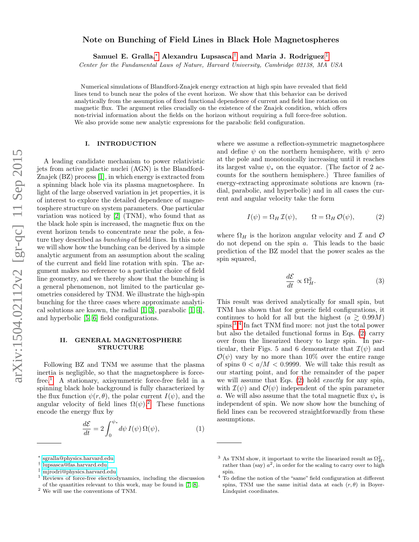# Note on Bunching of Field Lines in Black Hole Magnetospheres

Samuel E. Gralla,[∗](#page-0-0) Alexandru Lupsasca,[†](#page-0-1) and Maria J. Rodriguez [‡](#page-0-2)

Center for the Fundamental Laws of Nature, Harvard University, Cambridge 02138, MA USA

Numerical simulations of Blandford-Znajek energy extraction at high spin have revealed that field lines tend to bunch near the poles of the event horizon. We show that this behavior can be derived analytically from the assumption of fixed functional dependence of current and field line rotation on magnetic flux. The argument relies crucially on the existence of the Znajek condition, which offers non-trivial information about the fields on the horizon without requiring a full force-free solution. We also provide some new analytic expressions for the parabolic field configuration.

## I. INTRODUCTION

A leading candidate mechanism to power relativistic jets from active galactic nuclei (AGN) is the Blandford-Znajek (BZ) process [\[1\]](#page-2-0), in which energy is extracted from a spinning black hole via its plasma magnetosphere. In light of the large observed variation in jet properties, it is of interest to explore the detailed dependence of magnetosphere structure on system parameters. One particular variation was noticed by [\[2\]](#page-2-1) (TNM), who found that as the black hole spin is increased, the magnetic flux on the event horizon tends to concentrate near the pole, a feature they described as bunching of field lines. In this note we will show how the bunching can be derived by a simple analytic argument from an assumption about the scaling of the current and field line rotation with spin. The argument makes no reference to a particular choice of field line geometry, and we thereby show that the bunching is a general phenomenon, not limited to the particular geometries considered by TNM. We illustrate the high-spin bunching for the three cases where approximate analytical solutions are known, the radial  $[1, 3]$  $[1, 3]$ , parabolic  $[1, 4]$  $[1, 4]$ , and hyperbolic [\[5,](#page-2-4) [6\]](#page-2-5) field configurations.

## II. GENERAL MAGNETOSPHERE **STRUCTURE**

Following BZ and TNM we assume that the plasma inertia is negligible, so that the magnetosphere is forcefree.[1](#page-0-3) A stationary, axisymmetric force-free field in a spinning black hole background is fully characterized by the flux function  $\psi(r, \theta)$ , the polar current  $I(\psi)$ , and the angular velocity of field lines  $\Omega(\psi)$ .<sup>[2](#page-0-4)</sup> These functions encode the energy flux by

$$
\frac{d\mathcal{E}}{dt} = 2 \int_0^{\psi_*} d\psi \, I(\psi) \, \Omega(\psi), \tag{1}
$$

where we assume a reflection-symmetric magnetosphere and define  $\psi$  on the northern hemisphere, with  $\psi$  zero at the pole and monotonically increasing until it reaches its largest value  $\psi_*$  on the equator. (The factor of 2 accounts for the southern hemisphere.) Three families of energy-extracting approximate solutions are known (radial, parabolic, and hyperbolic) and in all cases the current and angular velocity take the form

$$
I(\psi) = \Omega_H \mathcal{I}(\psi), \qquad \Omega = \Omega_H \mathcal{O}(\psi), \tag{2}
$$

where  $\Omega_H$  is the horizon angular velocity and  $\mathcal I$  and  $\mathcal O$ do not depend on the spin a. This leads to the basic prediction of the BZ model that the power scales as the spin squared,

<span id="page-0-7"></span>
$$
\frac{d\mathcal{E}}{dt} \propto \Omega_H^2. \tag{3}
$$

This result was derived analytically for small spin, but TNM has shown that for generic field configurations, it continues to hold for all but the highest  $(a \geq 0.99M)$ spins.[3](#page-0-5),[4](#page-0-6) In fact TNM find more: not just the total power but also the detailed functional forms in Eqs. [\(2\)](#page-0-7) carry over from the linearized theory to large spin. In particular, their Figs. 5 and 6 demonstrate that  $\mathcal{I}(\psi)$  and  $\mathcal{O}(\psi)$  vary by no more than 10% over the entire range of spins  $0 < a/M < 0.9999$ . We will take this result as our starting point, and for the remainder of the paper we will assume that Eqs. [\(2\)](#page-0-7) hold exactly for any spin, with  $\mathcal{I}(\psi)$  and  $\mathcal{O}(\psi)$  independent of the spin parameter a. We will also assume that the total magnetic flux  $\psi_*$  is independent of spin. We now show how the bunching of field lines can be recovered straightforwardly from these assumptions.

<span id="page-0-0"></span><sup>∗</sup> [sgralla@physics.harvard.edu](mailto:sgralla@physics.harvard.edu)

<span id="page-0-1"></span><sup>†</sup> [lupsasca@fas.harvard.edu](mailto:lupsasca@fas.harvard.edu)

<span id="page-0-2"></span><sup>‡</sup> [mjrodri@physics.harvard.edu](mailto:mjrodri@physics.harvard.edu)

<span id="page-0-3"></span><sup>1</sup> Reviews of force-free electrodynamics, including the discussion of the quantities relevant to this work, may be found in [\[7,](#page-2-6) [8\]](#page-2-7).

<span id="page-0-4"></span><sup>2</sup> We will use the conventions of TNM.

<span id="page-0-5"></span><sup>&</sup>lt;sup>3</sup> As TNM show, it important to write the linearized result as  $\Omega_H^2$ , rather than (say)  $a^2$ , in order for the scaling to carry over to high spin.

<span id="page-0-6"></span><sup>4</sup> To define the notion of the "same" field configuration at different spins, TNM use the same initial data at each  $(r, \theta)$  in Boyer-Lindquist coordinates.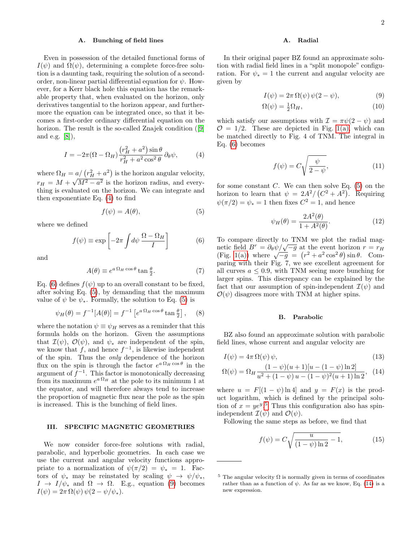#### A. Bunching of field lines

Even in possession of the detailed functional forms of  $I(\psi)$  and  $\Omega(\psi)$ , determining a complete force-free solution is a daunting task, requiring the solution of a secondorder, non-linear partial differential equation for  $\psi$ . However, for a Kerr black hole this equation has the remarkable property that, when evaluated on the horizon, only derivatives tangential to the horizon appear, and furthermore the equation can be integrated once, so that it becomes a first-order ordinary differential equation on the horizon. The result is the so-called Znajek condition ([\[9\]](#page-2-8) and e.g. [\[8\]](#page-2-7)),

$$
I = -2\pi (\Omega - \Omega_H) \frac{(r_H^2 + a^2)\sin\theta}{r_H^2 + a^2 \cos^2\theta} \partial_\theta \psi, \tag{4}
$$

where  $\Omega_H = a / (r_H^2 + a^2)$  is the horizon angular velocity,  $r_H = M + \sqrt{M^2 - a^2}$  is the horizon radius, and everything is evaluated on the horizon. We can integrate and then exponentiate Eq. [\(4\)](#page-1-0) to find

$$
f(\psi) = A(\theta),\tag{5}
$$

where we defined

$$
f(\psi) \equiv \exp\left[-2\pi \int d\psi \frac{\Omega - \Omega_H}{I}\right]
$$
 (6)

and

$$
A(\theta) \equiv e^{a \,\Omega_H \cos \theta} \tan \frac{\theta}{2}.\tag{7}
$$

Eq. [\(6\)](#page-1-1) defines  $f(\psi)$  up to an overall constant to be fixed, after solving Eq. [\(5\)](#page-1-2), by demanding that the maximum value of  $\psi$  be  $\psi_*$ . Formally, the solution to Eq. [\(5\)](#page-1-2) is

$$
\psi_H(\theta) = f^{-1}[A(\theta)] = f^{-1}\left[e^{a\,\Omega_H\cos\theta}\tan\frac{\theta}{2}\right],\tag{8}
$$

where the notation  $\psi \equiv \psi_H$  serves as a reminder that this formula holds on the horizon. Given the assumptions that  $\mathcal{I}(\psi)$ ,  $\mathcal{O}(\psi)$ , and  $\psi_*$  are independent of the spin, we know that f, and hence  $f^{-1}$ , is likewise independent of the spin. Thus the only dependence of the horizon flux on the spin is through the factor  $e^{a \Omega_H \cos \theta}$  in the argument of  $f^{-1}$ . This factor is monotonically decreasing from its maximum  $e^{a \Omega_H}$  at the pole to its minimum 1 at the equator, and will therefore always tend to increase the proportion of magnetic flux near the pole as the spin is increased. This is the bunching of field lines.

#### III. SPECIFIC MAGNETIC GEOMETRIES

We now consider force-free solutions with radial, parabolic, and hyperbolic geometries. In each case we use the current and angular velocity functions appropriate to a normalization of  $\psi(\pi/2) = \psi_* = 1$ . Factors of  $\psi_*$  may be reinstated by scaling  $\psi \to \psi/\psi_*,$  $I \to I/\psi_*$  and  $\Omega \to \Omega$ . E.g., equation [\(9\)](#page-1-3) becomes  $I(\psi) = 2\pi \Omega(\psi) \psi(2 - \psi/\psi_*)$ .

#### <span id="page-1-3"></span>A. Radial

In their original paper BZ found an approximate solution with radial field lines in a "split monopole" configuration. For  $\psi_* = 1$  the current and angular velocity are given by

$$
I(\psi) = 2\pi \,\Omega(\psi) \,\psi(2 - \psi),\tag{9}
$$

$$
\Omega(\psi) = \frac{1}{2}\Omega_H,\tag{10}
$$

<span id="page-1-0"></span>which satisfy our assumptions with  $\mathcal{I} = \pi \psi(2 - \psi)$  and  $\mathcal{O} = 1/2$ . These are depicted in Fig. [1\(a\),](#page-3-0) which can be matched directly to Fig. 4 of TNM. The integral in Eq. [\(6\)](#page-1-1) becomes

$$
f(\psi) = C \sqrt{\frac{\psi}{2 - \psi}},\tag{11}
$$

<span id="page-1-2"></span>for some constant  $C$ . We can then solve Eq. [\(5\)](#page-1-2) on the horizon to learn that  $\psi = 2A^2/(C^2 + A^2)$ . Requiring  $\psi(\pi/2) = \psi_* = 1$  then fixes  $C^2 = 1$ , and hence

$$
\psi_H(\theta) = \frac{2A^2(\theta)}{1 + A^2(\theta)}.\tag{12}
$$

<span id="page-1-1"></span>To compare directly to TNM we plot the radial mag-10 compare directly to 1NM we plot the radial magnetic field  $B^r = \partial_\theta \psi / \sqrt{-g}$  at the event horizon  $r = r_H$ metre neighborhology  $-\frac{\partial}{\partial \theta} \psi / \sqrt{-g}$  at the event norizon  $r = r_H$ <br>(Fig. [1\(a\)\)](#page-3-0) where  $\sqrt{-g} = (r^2 + a^2 \cos^2 \theta) \sin \theta$ . Comparing with their Fig. 7, we see excellent agreement for all curves  $a \leq 0.9$ , with TNM seeing more bunching for larger spins. This discrepancy can be explained by the fact that our assumption of spin-independent  $\mathcal{I}(\psi)$  and  $\mathcal{O}(\psi)$  disagrees more with TNM at higher spins.

#### <span id="page-1-5"></span>B. Parabolic

BZ also found an approximate solution with parabolic field lines, whose current and angular velocity are

$$
I(\psi) = 4\pi \,\Omega(\psi) \,\psi,\tag{13}
$$

$$
\Omega(\psi) = \Omega_H \frac{(1 - \psi)(u + 1)[u - (1 - \psi)\ln 2]}{u^2 + (1 - \psi)u - (1 - \psi)^2(u + 1)\ln 2},
$$
 (14)

where  $u = F[(1 - \psi) \ln 4]$  and  $y = F(x)$  is the product logarithm, which is defined by the principal solution of  $x = ye^{y}$ .<sup>[5](#page-1-4)</sup> Thus this configuration also has spinindependent  $\mathcal{I}(\psi)$  and  $\mathcal{O}(\psi)$ .

Following the same steps as before, we find that

$$
f(\psi) = C \sqrt{\frac{u}{(1-\psi)\ln 2} - 1},
$$
 (15)

<span id="page-1-4"></span><sup>&</sup>lt;sup>5</sup> The angular velocity  $\Omega$  is normally given in terms of coordinates rather than as a function of  $\psi$ . As far as we know, Eq. [\(14\)](#page-1-5) is a new expression.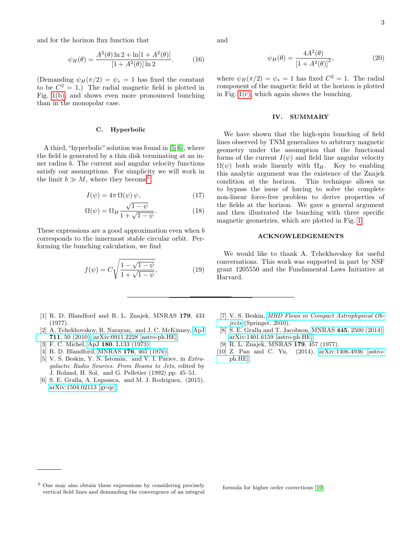3

and for the horizon flux function that

$$
\psi_H(\theta) = \frac{A^2(\theta) \ln 2 + \ln[1 + A^2(\theta)]}{[1 + A^2(\theta)] \ln 2}.
$$
 (16)

(Demanding  $\psi_H(\pi/2) = \psi_* = 1$  has fixed the constant to be  $C^2 = 1$ .) The radial magnetic field is plotted in Fig. [1\(b\),](#page-3-1) and shows even more pronounced bunching than in the monopolar case.

#### C. Hyperbolic

A third, "hyperbolic" solution was found in [\[5,](#page-2-4) [6\]](#page-2-5), where the field is generated by a thin disk terminating at an inner radius b. The current and angular velocity functions satisfy our assumptions. For simplicity we will work in the limit  $b \gg M$ , where they become<sup>[6](#page-2-9)</sup>

$$
I(\psi) = 4\pi \,\Omega(\psi) \,\psi,\tag{17}
$$

$$
\Omega(\psi) = \Omega_H \frac{\sqrt{1-\psi}}{1+\sqrt{1-\psi}}.\tag{18}
$$

These expressions are a good approximation even when b corresponds to the innermost stable circular orbit. Performing the bunching calculation, we find

$$
f(\psi) = C \sqrt{\frac{1 - \sqrt{1 - \psi}}{1 + \sqrt{1 - \psi}}},\tag{19}
$$

and

$$
\psi_H(\theta) = \frac{4A^2(\theta)}{\left[1 + A^2(\theta)\right]^2},\tag{20}
$$

where  $\psi_H(\pi/2) = \psi_* = 1$  has fixed  $C^2 = 1$ . The radial component of the magnetic field at the horizon is plotted in Fig. [1\(c\),](#page-3-2) which again shows the bunching.

#### IV. SUMMARY

We have shown that the high-spin bunching of field lines observed by TNM generalizes to arbitrary magnetic geometry under the assumption that the functional forms of the current  $I(\psi)$  and field line angular velocity  $\Omega(\psi)$  both scale linearly with  $\Omega_H$ . Key to enabling this analytic argument was the existence of the Znajek condition at the horizon. This technique allows us to bypass the issue of having to solve the complete non-linear force-free problem to derive properties of the fields at the horizon. We gave a general argument and then illustrated the bunching with three specific magnetic geometries, which are plotted in Fig. [1.](#page-3-3)

### ACKNOWLEDGEMENTS

We would like to thank A. Tchekhovskoy for useful conversations. This work was supported in part by NSF grant 1205550 and the Fundamental Laws Initiative at Harvard.

- <span id="page-2-0"></span>[1] R. D. Blandford and R. L. Znajek, MNRAS 179, 433 (1977).
- <span id="page-2-1"></span>[2] A. Tchekhovskoy, R. Narayan, and J. C. McKinney, [ApJ](http://dx.doi.org/10.1088/0004-637X/711/1/50) 711[, 50 \(2010\),](http://dx.doi.org/10.1088/0004-637X/711/1/50) [arXiv:0911.2228 \[astro-ph.HE\].](http://arxiv.org/abs/0911.2228)
- <span id="page-2-2"></span>[3] F. C. Michel, ApJ 180[, L133 \(1973\).](http://dx.doi.org/10.1086/181169)
- <span id="page-2-3"></span>[4] R. D. Blandford, MNRAS **176**[, 465 \(1976\).](http://dx.doi.org/10.1093/mnras/176.3.465)
- <span id="page-2-4"></span>[5] V. S. Beskin, Y. N. Istomin, and V. I. Pariev, in Extragalactic Radio Sources. From Beams to Jets, edited by J. Roland, H. Sol, and G. Pelletier (1992) pp. 45–51.
- <span id="page-2-5"></span>[6] S. E. Gralla, A. Lupsasca, and M. J. Rodriguez, (2015), [arXiv:1504.02113 \[gr-qc\].](http://arxiv.org/abs/1504.02113)
- <span id="page-2-6"></span>[7] V. S. Beskin, [MHD Flows in Compact Astrophysical Ob](http://dx.doi.org/10.1007/978-3-642-01290-7)[jects](http://dx.doi.org/10.1007/978-3-642-01290-7) (Springer, 2010).
- <span id="page-2-7"></span>[8] S. E. Gralla and T. Jacobson, MNRAS 445[, 2500 \(2014\),](http://dx.doi.org/10.1093/mnras/stu1690) [arXiv:1401.6159 \[astro-ph.HE\].](http://arxiv.org/abs/1401.6159)
- <span id="page-2-8"></span>[9] R. L. Znajek, MNRAS 179, 457 (1977).
- <span id="page-2-10"></span>[10] Z. Pan and C. Yu, (2014), [arXiv:1406.4936 \[astro](http://arxiv.org/abs/1406.4936)[ph.HE\].](http://arxiv.org/abs/1406.4936)

formula for higher order corrections [\[10\]](#page-2-10).

<span id="page-2-9"></span><sup>6</sup> One may also obtain these expressions by considering precisely vertical field lines and demanding the convergence of an integral